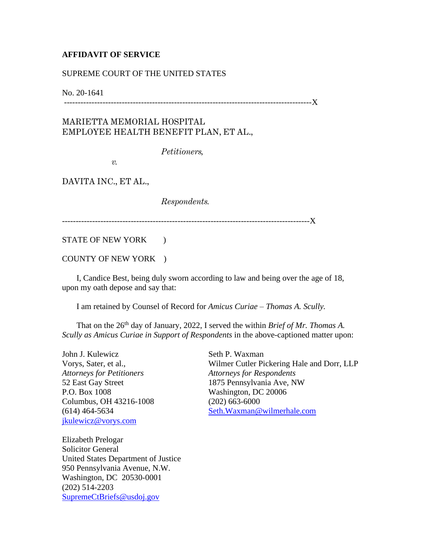## **AFFIDAVIT OF SERVICE**

## SUPREME COURT OF THE UNITED STATES

No. 20-1641

------------------------------------------------------------------------------------------X

## MARIETTA MEMORIAL HOSPITAL EMPLOYEE HEALTH BENEFIT PLAN, ET AL.,

*Petitioners,*

*v.*

DAVITA INC., ET AL.,

*Respondents.*

------------------------------------------------------------------------------------------X

STATE OF NEW YORK )

COUNTY OF NEW YORK )

 I, Candice Best, being duly sworn according to law and being over the age of 18, upon my oath depose and say that:

I am retained by Counsel of Record for *Amicus Curiae – Thomas A. Scully.*

That on the 26<sup>th</sup> day of January, 2022, I served the within *Brief of Mr. Thomas A. Scully as Amicus Curiae in Support of Respondents* in the above-captioned matter upon:

John J. Kulewicz Vorys, Sater, et al., *Attorneys for Petitioners* 52 East Gay Street P.O. Box 1008 Columbus, OH 43216-1008 (614) 464-5634 [jkulewicz@vorys.com](mailto:jkulewicz@vorys.com)

Seth P. Waxman Wilmer Cutler Pickering Hale and Dorr, LLP *Attorneys for Respondents* 1875 Pennsylvania Ave, NW Washington, DC 20006 (202) 663-6000 [Seth.Waxman@wilmerhale.com](mailto:Seth.Waxman@wilmerhale.com)

Elizabeth Prelogar Solicitor General United States Department of Justice 950 Pennsylvania Avenue, N.W. Washington, DC 20530-0001 (202) 514-2203 [SupremeCtBriefs@usdoj.gov](mailto:SupremeCtBriefs@usdoj.gov)